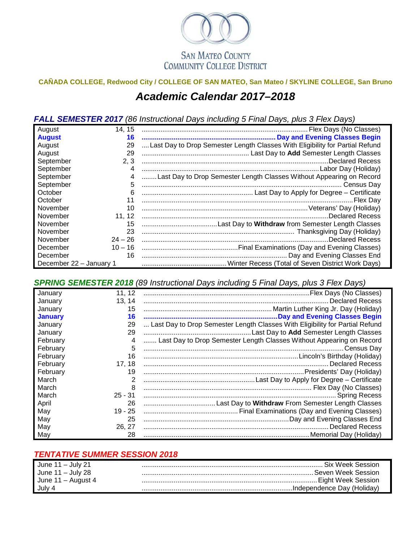

## **CAÑADA COLLEGE, Redwood City / COLLEGE OF SAN MATEO, San Mateo / SKYLINE COLLEGE, San Bruno** *Academic Calendar 2017–2018*

*FALL SEMESTER 2017 (86 Instructional Days including 5 Final Days, plus 3 Flex Days)*

| August                  | 14, 15    |                                                                              |
|-------------------------|-----------|------------------------------------------------------------------------------|
| <b>August</b>           | 16        |                                                                              |
| August                  | 29        | Last Day to Drop Semester Length Classes With Eligibility for Partial Refund |
| August                  | 29        |                                                                              |
| September               | 2, 3      |                                                                              |
| September               | 4         |                                                                              |
| September               |           | Last Day to Drop Semester Length Classes Without Appearing on Record         |
| September               | 5         |                                                                              |
| October                 | 6         |                                                                              |
| October                 | 11        |                                                                              |
| November                | 10        |                                                                              |
| November                | 11, 12    | Declared Recess                                                              |
| November                | 15        |                                                                              |
| November                | 23        |                                                                              |
| November                | $24 - 26$ | Declared Recess.                                                             |
| December                | $10 - 16$ |                                                                              |
| December                | 16        |                                                                              |
| December 22 - January 1 |           |                                                                              |

*SPRING SEMESTER 2018 (89 Instructional Days including 5 Final Days, plus 3 Flex Days)*

| January        | 11, 12    |                                                                              |
|----------------|-----------|------------------------------------------------------------------------------|
| January        | 13, 14    |                                                                              |
| January        | 15        |                                                                              |
| <b>January</b> | 16        |                                                                              |
| January        | 29        | Last Day to Drop Semester Length Classes With Eligibility for Partial Refund |
| January        | 29        |                                                                              |
| February       | 4         | Last Day to Drop Semester Length Classes Without Appearing on Record         |
| February       | 5         | Census Day                                                                   |
| February       | 16        |                                                                              |
| February       | 17, 18    |                                                                              |
| February       | 19        |                                                                              |
| March          | 2         |                                                                              |
| March          | 8         |                                                                              |
| March          | $25 - 31$ |                                                                              |
| April          | 26        |                                                                              |
| May            | $19 - 25$ |                                                                              |
| May            | 25        |                                                                              |
| May            | 26, 27    |                                                                              |
| May            | 28        |                                                                              |

## *TENTATIVE SUMMER SESSION 2018*

| June $11 -$ July 21  | . Six Week Session.         |
|----------------------|-----------------------------|
| June $11 -$ July 28  | . Seven Week Session        |
| June $11 -$ August 4 | . Eiaht Week Session        |
| July 4               | .Independence Dav (Holidav) |